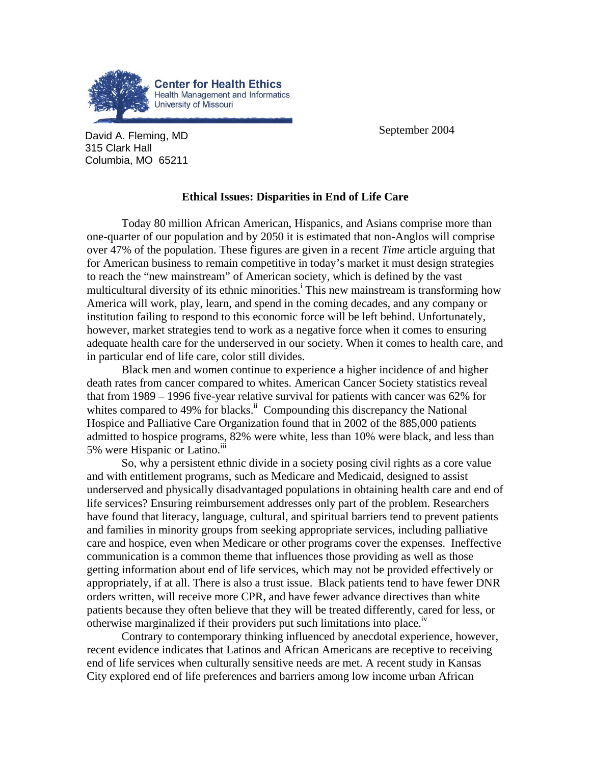

**David A. Fleming, MD September 2004** 315 Clark Hall Columbia, MO 65211

## **Ethical Issues: Disparities in End of Life Care**

Today 80 million African American, Hispanics, and Asians comprise more than one-quarter of our population and by 2050 it is estimated that non-Anglos will comprise over 47% of the population. These figures are given in a recent *Time* article arguing that for American business to remain competitive in today's market it must design strategies to reach the "new mainstream" of American society, which is defined by the vast multicultural diversity of its ethnic minorities.<sup>1</sup> This new mainstream is transforming how America will work, play, learn, and spend in the coming decades, and any company or institution failing to respond to this economic force will be left behind. Unfortunately, however, market strategies tend to work as a negative force when it comes to ensuring adequate health care for the underserved in our society. When it comes to health care, and in particular end of life care, color still divides.

Black men and women continue to experience a higher incidence of and higher death rates from cancer compared to whites. American Cancer Society statistics reveal that from 1989 – 1996 five-year relative survival for patients with cancer was 62% for whites compared to 49% for blacks.<sup>ii</sup> Compounding this discrepancy the National Hospice and Palliative Care Organization found that in 2002 of the 885,000 patients admitted to hospice programs, 82% were white, less than 10% were black, and less than 5% were Hispanic or Latino.<sup>111</sup>

So, why a persistent ethnic divide in a society posing civil rights as a core value and with entitlement programs, such as Medicare and Medicaid, designed to assist underserved and physically disadvantaged populations in obtaining health care and end of life services? Ensuring reimbursement addresses only part of the problem. Researchers have found that literacy, language, cultural, and spiritual barriers tend to prevent patients and families in minority groups from seeking appropriate services, including palliative care and hospice, even when Medicare or other programs cover the expenses. Ineffective communication is a common theme that influences those providing as well as those getting information about end of life services, which may not be provided effectively or appropriately, if at all. There is also a trust issue. Black patients tend to have fewer DNR orders written, will receive more CPR, and have fewer advance directives than white patients because they often believe that they will be treated differently, cared for less, or otherwise marginalized if their providers put such limitations into place.<sup> $N$ </sup>

Contrary to contemporary thinking influenced by anecdotal experience, however, recent evidence indicates that Latinos and African Americans are receptive to receiving end of life services when culturally sensitive needs are met. A recent study in Kansas City explored end of life preferences and barriers among low income urban African